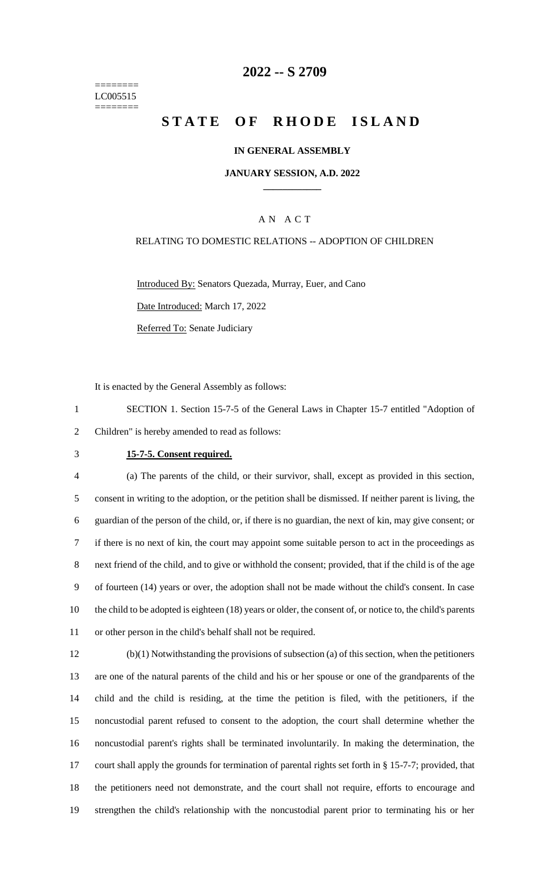======== LC005515 ========

# **-- S 2709**

# **STATE OF RHODE ISLAND**

## **IN GENERAL ASSEMBLY**

## **JANUARY SESSION, A.D. 2022 \_\_\_\_\_\_\_\_\_\_\_\_**

## A N A C T

#### RELATING TO DOMESTIC RELATIONS -- ADOPTION OF CHILDREN

Introduced By: Senators Quezada, Murray, Euer, and Cano Date Introduced: March 17, 2022 Referred To: Senate Judiciary

It is enacted by the General Assembly as follows:

 SECTION 1. Section 15-7-5 of the General Laws in Chapter 15-7 entitled "Adoption of Children" is hereby amended to read as follows:

## **15-7-5. Consent required.**

 (a) The parents of the child, or their survivor, shall, except as provided in this section, consent in writing to the adoption, or the petition shall be dismissed. If neither parent is living, the guardian of the person of the child, or, if there is no guardian, the next of kin, may give consent; or if there is no next of kin, the court may appoint some suitable person to act in the proceedings as next friend of the child, and to give or withhold the consent; provided, that if the child is of the age of fourteen (14) years or over, the adoption shall not be made without the child's consent. In case the child to be adopted is eighteen (18) years or older, the consent of, or notice to, the child's parents or other person in the child's behalf shall not be required.

 (b)(1) Notwithstanding the provisions of subsection (a) of this section, when the petitioners are one of the natural parents of the child and his or her spouse or one of the grandparents of the child and the child is residing, at the time the petition is filed, with the petitioners, if the noncustodial parent refused to consent to the adoption, the court shall determine whether the noncustodial parent's rights shall be terminated involuntarily. In making the determination, the court shall apply the grounds for termination of parental rights set forth in § 15-7-7; provided, that the petitioners need not demonstrate, and the court shall not require, efforts to encourage and strengthen the child's relationship with the noncustodial parent prior to terminating his or her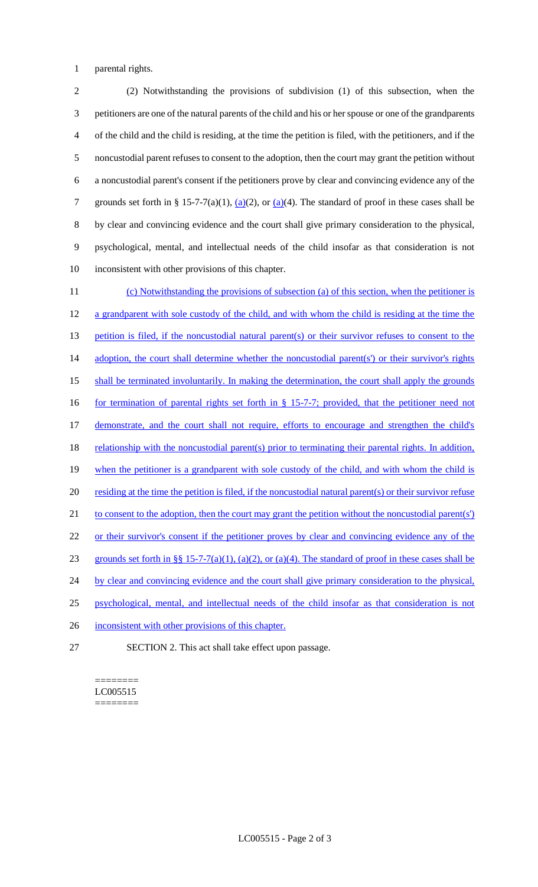1 parental rights.

 (2) Notwithstanding the provisions of subdivision (1) of this subsection, when the petitioners are one of the natural parents of the child and his or her spouse or one of the grandparents of the child and the child is residing, at the time the petition is filed, with the petitioners, and if the noncustodial parent refuses to consent to the adoption, then the court may grant the petition without a noncustodial parent's consent if the petitioners prove by clear and convincing evidence any of the 7 grounds set forth in § 15-7-7(a)(1),  $(a)(2)$ , or  $(a)(4)$ . The standard of proof in these cases shall be by clear and convincing evidence and the court shall give primary consideration to the physical, psychological, mental, and intellectual needs of the child insofar as that consideration is not inconsistent with other provisions of this chapter.

11 (c) Notwithstanding the provisions of subsection (a) of this section, when the petitioner is 12 a grandparent with sole custody of the child, and with whom the child is residing at the time the 13 petition is filed, if the noncustodial natural parent(s) or their survivor refuses to consent to the 14 adoption, the court shall determine whether the noncustodial parent(s') or their survivor's rights 15 shall be terminated involuntarily. In making the determination, the court shall apply the grounds 16 for termination of parental rights set forth in § 15-7-7; provided, that the petitioner need not 17 demonstrate, and the court shall not require, efforts to encourage and strengthen the child's 18 relationship with the noncustodial parent(s) prior to terminating their parental rights. In addition, 19 when the petitioner is a grandparent with sole custody of the child, and with whom the child is 20 residing at the time the petition is filed, if the noncustodial natural parent(s) or their survivor refuse 21 to consent to the adoption, then the court may grant the petition without the noncustodial parent(s') 22 or their survivor's consent if the petitioner proves by clear and convincing evidence any of the 23 grounds set forth in §§ 15-7-7(a)(1), (a)(2), or (a)(4). The standard of proof in these cases shall be 24 by clear and convincing evidence and the court shall give primary consideration to the physical, 25 psychological, mental, and intellectual needs of the child insofar as that consideration is not 26 inconsistent with other provisions of this chapter.

27 SECTION 2. This act shall take effect upon passage.

#### ======== LC005515 ========